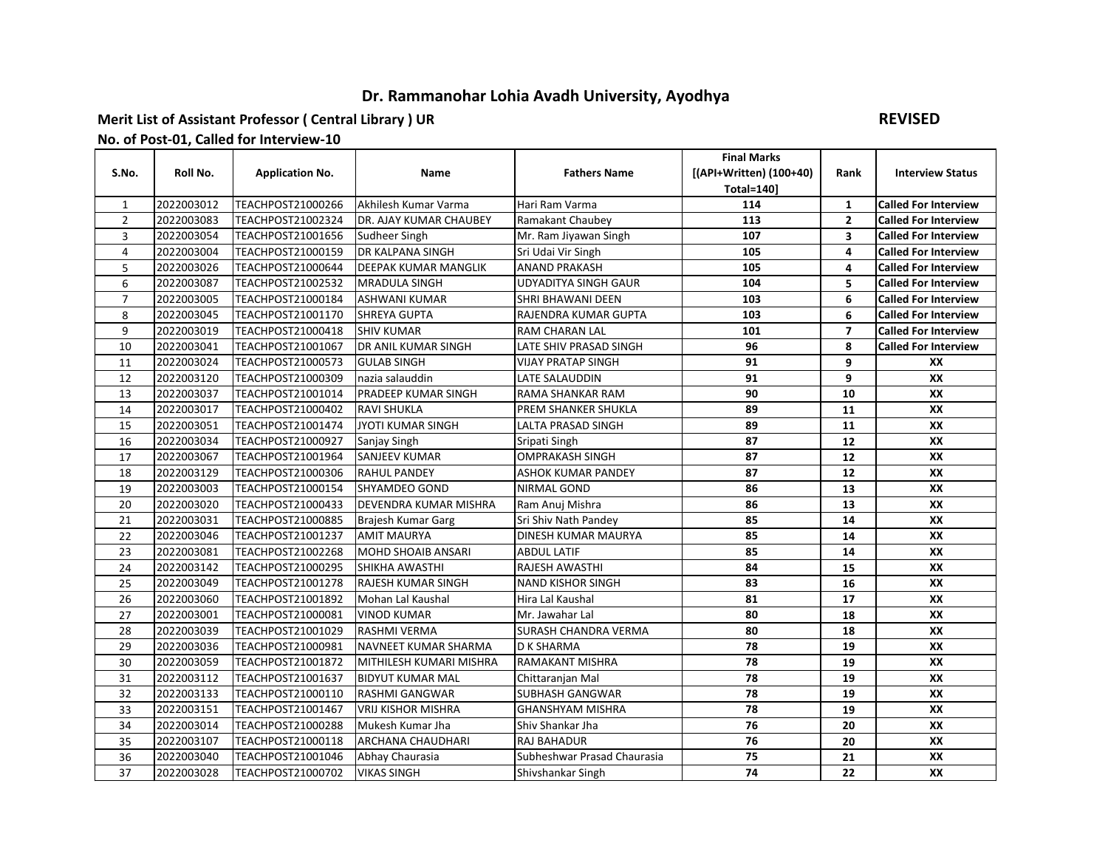## **Dr. Rammanohar Lohia Avadh University, Ayodhya**

## **Merit List of Assistant Professor ( Central Library ) UR**

## **REVISED**

## **No. of Post-01, Called for Interview-10**

|                |            |                          |                             |                             | <b>Final Marks</b>      |                         |                             |
|----------------|------------|--------------------------|-----------------------------|-----------------------------|-------------------------|-------------------------|-----------------------------|
| S.No.          | Roll No.   | <b>Application No.</b>   | <b>Name</b>                 | <b>Fathers Name</b>         | [(API+Written) (100+40) | Rank                    | <b>Interview Status</b>     |
|                |            |                          |                             |                             | <b>Total=140]</b>       |                         |                             |
| 1              | 2022003012 | <b>TEACHPOST21000266</b> | Akhilesh Kumar Varma        | Hari Ram Varma              | 114                     | $\mathbf{1}$            | <b>Called For Interview</b> |
| $\overline{2}$ | 2022003083 | TEACHPOST21002324        | DR. AJAY KUMAR CHAUBEY      | <b>Ramakant Chaubey</b>     | 113                     | $\overline{2}$          | <b>Called For Interview</b> |
| 3              | 2022003054 | <b>TEACHPOST21001656</b> | Sudheer Singh               | Mr. Ram Jiyawan Singh       | 107                     | $\overline{\mathbf{3}}$ | <b>Called For Interview</b> |
| 4              | 2022003004 | TEACHPOST21000159        | <b>DR KALPANA SINGH</b>     | Sri Udai Vir Singh          | 105                     | $\overline{\mathbf{4}}$ | <b>Called For Interview</b> |
| 5              | 2022003026 | TEACHPOST21000644        | <b>DEEPAK KUMAR MANGLIK</b> | <b>ANAND PRAKASH</b>        | 105                     | 4                       | <b>Called For Interview</b> |
| 6              | 2022003087 | <b>TEACHPOST21002532</b> | <b>MRADULA SINGH</b>        | <b>UDYADITYA SINGH GAUR</b> | 104                     | 5                       | <b>Called For Interview</b> |
| 7              | 2022003005 | TEACHPOST21000184        | <b>ASHWANI KUMAR</b>        | <b>SHRI BHAWANI DEEN</b>    | 103                     | 6                       | <b>Called For Interview</b> |
| 8              | 2022003045 | <b>TEACHPOST21001170</b> | <b>SHREYA GUPTA</b>         | <b>RAJENDRA KUMAR GUPTA</b> | 103                     | 6                       | <b>Called For Interview</b> |
| 9              | 2022003019 | <b>TEACHPOST21000418</b> | <b>SHIV KUMAR</b>           | <b>RAM CHARAN LAL</b>       | 101                     | $\overline{7}$          | <b>Called For Interview</b> |
| 10             | 2022003041 | TEACHPOST21001067        | DR ANIL KUMAR SINGH         | LATE SHIV PRASAD SINGH      | 96                      | 8                       | <b>Called For Interview</b> |
| 11             | 2022003024 | TEACHPOST21000573        | <b>GULAB SINGH</b>          | <b>VIJAY PRATAP SINGH</b>   | 91                      | 9                       | XX                          |
| 12             | 2022003120 | TEACHPOST21000309        | nazia salauddin             | LATE SALAUDDIN              | 91                      | 9                       | XX                          |
| 13             | 2022003037 | TEACHPOST21001014        | PRADEEP KUMAR SINGH         | <b>RAMA SHANKAR RAM</b>     | 90                      | 10                      | XX                          |
| 14             | 2022003017 | <b>TEACHPOST21000402</b> | <b>RAVI SHUKLA</b>          | <b>PREM SHANKER SHUKLA</b>  | 89                      | 11                      | XX                          |
| 15             | 2022003051 | <b>TEACHPOST21001474</b> | <b>JYOTI KUMAR SINGH</b>    | LALTA PRASAD SINGH          | 89                      | 11                      | XX                          |
| 16             | 2022003034 | <b>TEACHPOST21000927</b> | Sanjay Singh                | Sripati Singh               | 87                      | 12                      | XX                          |
| 17             | 2022003067 | <b>TEACHPOST21001964</b> | <b>SANJEEV KUMAR</b>        | <b>OMPRAKASH SINGH</b>      | 87                      | 12                      | XX                          |
| 18             | 2022003129 | TEACHPOST21000306        | <b>RAHUL PANDEY</b>         | <b>ASHOK KUMAR PANDEY</b>   | 87                      | 12                      | XX                          |
| 19             | 2022003003 | TEACHPOST21000154        | <b>SHYAMDEO GOND</b>        | <b>NIRMAL GOND</b>          | 86                      | 13                      | XX                          |
| 20             | 2022003020 | <b>TEACHPOST21000433</b> | DEVENDRA KUMAR MISHRA       | Ram Anuj Mishra             | 86                      | 13                      | XX                          |
| 21             | 2022003031 | <b>TEACHPOST21000885</b> | Brajesh Kumar Garg          | Sri Shiv Nath Pandey        | 85                      | 14                      | XX                          |
| 22             | 2022003046 | <b>TEACHPOST21001237</b> | <b>AMIT MAURYA</b>          | <b>DINESH KUMAR MAURYA</b>  | 85                      | 14                      | XX                          |
| 23             | 2022003081 | <b>TEACHPOST21002268</b> | <b>MOHD SHOAIB ANSARI</b>   | <b>ABDUL LATIF</b>          | 85                      | 14                      | XX                          |
| 24             | 2022003142 | TEACHPOST21000295        | SHIKHA AWASTHI              | <b>RAJESH AWASTHI</b>       | 84                      | 15                      | XX                          |
| 25             | 2022003049 | <b>TEACHPOST21001278</b> | <b>RAJESH KUMAR SINGH</b>   | <b>NAND KISHOR SINGH</b>    | 83                      | 16                      | XX                          |
| 26             | 2022003060 | TEACHPOST21001892        | Mohan Lal Kaushal           | Hira Lal Kaushal            | 81                      | 17                      | XX                          |
| 27             | 2022003001 | TEACHPOST21000081        | <b>VINOD KUMAR</b>          | Mr. Jawahar Lal             | 80                      | 18                      | XX                          |
| 28             | 2022003039 | TEACHPOST21001029        | <b>RASHMI VERMA</b>         | <b>SURASH CHANDRA VERMA</b> | 80                      | 18                      | XX                          |
| 29             | 2022003036 | <b>TEACHPOST21000981</b> | <b>NAVNEET KUMAR SHARMA</b> | <b>D K SHARMA</b>           | 78                      | 19                      | XX                          |
| 30             | 2022003059 | TEACHPOST21001872        | MITHILESH KUMARI MISHRA     | <b>RAMAKANT MISHRA</b>      | 78                      | 19                      | XX                          |
| 31             | 2022003112 | TEACHPOST21001637        | <b>BIDYUT KUMAR MAL</b>     | Chittaranjan Mal            | 78                      | 19                      | XX                          |
| 32             | 2022003133 | TEACHPOST21000110        | <b>RASHMI GANGWAR</b>       | <b>SUBHASH GANGWAR</b>      | 78                      | 19                      | XX                          |
| 33             | 2022003151 | TEACHPOST21001467        | <b>VRIJ KISHOR MISHRA</b>   | <b>GHANSHYAM MISHRA</b>     | 78                      | 19                      | XX                          |
| 34             | 2022003014 | <b>TEACHPOST21000288</b> | Mukesh Kumar Jha            | Shiv Shankar Jha            | 76                      | 20                      | XX                          |
| 35             | 2022003107 | TEACHPOST21000118        | <b>ARCHANA CHAUDHARI</b>    | <b>RAJ BAHADUR</b>          | 76                      | 20                      | XX                          |
| 36             | 2022003040 | TEACHPOST21001046        | Abhay Chaurasia             | Subheshwar Prasad Chaurasia | 75                      | 21                      | XX                          |
| 37             | 2022003028 | <b>TEACHPOST21000702</b> | <b>VIKAS SINGH</b>          | Shivshankar Singh           | 74                      | 22                      | XX                          |